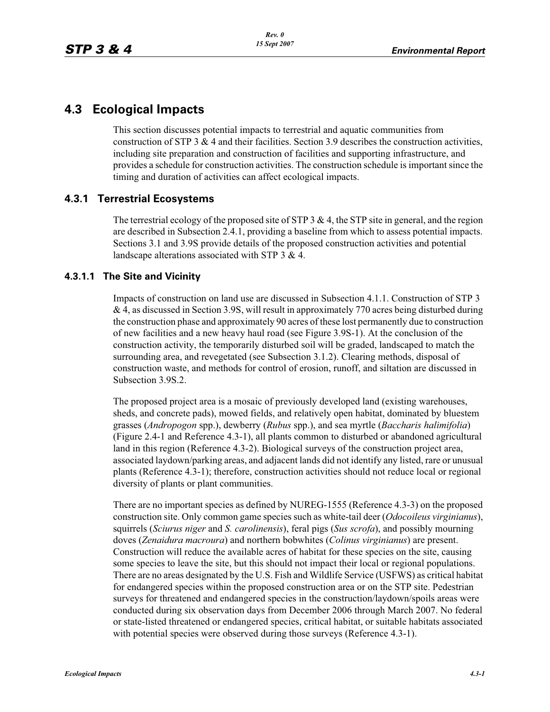# **4.3 Ecological Impacts**

This section discusses potential impacts to terrestrial and aquatic communities from construction of STP 3  $\&$  4 and their facilities. Section 3.9 describes the construction activities, including site preparation and construction of facilities and supporting infrastructure, and provides a schedule for construction activities. The construction schedule is important since the timing and duration of activities can affect ecological impacts.

# **4.3.1 Terrestrial Ecosystems**

The terrestrial ecology of the proposed site of STP 3  $\&$  4, the STP site in general, and the region are described in Subsection 2.4.1, providing a baseline from which to assess potential impacts. Sections 3.1 and 3.9S provide details of the proposed construction activities and potential landscape alterations associated with STP 3 & 4.

## **4.3.1.1 The Site and Vicinity**

Impacts of construction on land use are discussed in Subsection 4.1.1. Construction of STP 3 & 4, as discussed in Section 3.9S, will result in approximately 770 acres being disturbed during the construction phase and approximately 90 acres of these lost permanently due to construction of new facilities and a new heavy haul road (see Figure 3.9S-1). At the conclusion of the construction activity, the temporarily disturbed soil will be graded, landscaped to match the surrounding area, and revegetated (see Subsection 3.1.2). Clearing methods, disposal of construction waste, and methods for control of erosion, runoff, and siltation are discussed in Subsection 3.9S.2.

The proposed project area is a mosaic of previously developed land (existing warehouses, sheds, and concrete pads), mowed fields, and relatively open habitat, dominated by bluestem grasses (*Andropogon* spp.), dewberry (*Rubus* spp.), and sea myrtle (*Baccharis halimifolia*) (Figure 2.4-1 and Reference 4.3-1), all plants common to disturbed or abandoned agricultural land in this region (Reference 4.3-2). Biological surveys of the construction project area, associated laydown/parking areas, and adjacent lands did not identify any listed, rare or unusual plants (Reference 4.3-1); therefore, construction activities should not reduce local or regional diversity of plants or plant communities.

There are no important species as defined by NUREG-1555 (Reference 4.3-3) on the proposed construction site. Only common game species such as white-tail deer (*Odocoileus virginianus*), squirrels (*Sciurus niger* and *S. carolinensis*), feral pigs (*Sus scrofa*), and possibly mourning doves (*Zenaidura macroura*) and northern bobwhites (*Colinus virginianus*) are present. Construction will reduce the available acres of habitat for these species on the site, causing some species to leave the site, but this should not impact their local or regional populations. There are no areas designated by the U.S. Fish and Wildlife Service (USFWS) as critical habitat for endangered species within the proposed construction area or on the STP site. Pedestrian surveys for threatened and endangered species in the construction/laydown/spoils areas were conducted during six observation days from December 2006 through March 2007. No federal or state-listed threatened or endangered species, critical habitat, or suitable habitats associated with potential species were observed during those surveys (Reference 4.3-1).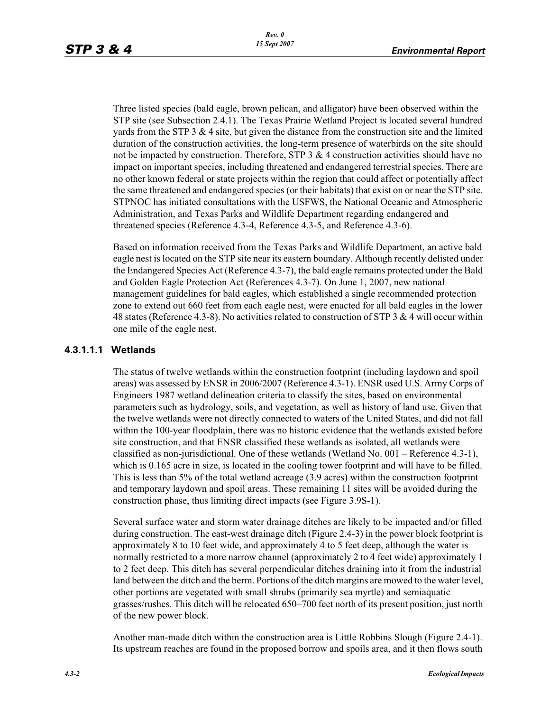Three listed species (bald eagle, brown pelican, and alligator) have been observed within the STP site (see Subsection 2.4.1). The Texas Prairie Wetland Project is located several hundred yards from the STP 3  $\&$  4 site, but given the distance from the construction site and the limited duration of the construction activities, the long-term presence of waterbirds on the site should not be impacted by construction. Therefore, STP  $3 \& 4$  construction activities should have no impact on important species, including threatened and endangered terrestrial species. There are no other known federal or state projects within the region that could affect or potentially affect the same threatened and endangered species (or their habitats) that exist on or near the STP site. STPNOC has initiated consultations with the USFWS, the National Oceanic and Atmospheric Administration, and Texas Parks and Wildlife Department regarding endangered and threatened species (Reference 4.3-4, Reference 4.3-5, and Reference 4.3-6).

Based on information received from the Texas Parks and Wildlife Department, an active bald eagle nest is located on the STP site near its eastern boundary. Although recently delisted under the Endangered Species Act (Reference 4.3-7), the bald eagle remains protected under the Bald and Golden Eagle Protection Act (References 4.3-7). On June 1, 2007, new national management guidelines for bald eagles, which established a single recommended protection zone to extend out 660 feet from each eagle nest, were enacted for all bald eagles in the lower 48 states (Reference 4.3-8). No activities related to construction of STP 3 & 4 will occur within one mile of the eagle nest.

## **4.3.1.1.1 Wetlands**

The status of twelve wetlands within the construction footprint (including laydown and spoil areas) was assessed by ENSR in 2006/2007 (Reference 4.3-1). ENSR used U.S. Army Corps of Engineers 1987 wetland delineation criteria to classify the sites, based on environmental parameters such as hydrology, soils, and vegetation, as well as history of land use. Given that the twelve wetlands were not directly connected to waters of the United States, and did not fall within the 100-year floodplain, there was no historic evidence that the wetlands existed before site construction, and that ENSR classified these wetlands as isolated, all wetlands were classified as non-jurisdictional. One of these wetlands (Wetland No. 001 – Reference 4.3-1), which is 0.165 acre in size, is located in the cooling tower footprint and will have to be filled. This is less than 5% of the total wetland acreage (3.9 acres) within the construction footprint and temporary laydown and spoil areas. These remaining 11 sites will be avoided during the construction phase, thus limiting direct impacts (see Figure 3.9S-1).

Several surface water and storm water drainage ditches are likely to be impacted and/or filled during construction. The east-west drainage ditch (Figure 2.4-3) in the power block footprint is approximately 8 to 10 feet wide, and approximately 4 to 5 feet deep, although the water is normally restricted to a more narrow channel (approximately 2 to 4 feet wide) approximately 1 to 2 feet deep. This ditch has several perpendicular ditches draining into it from the industrial land between the ditch and the berm. Portions of the ditch margins are mowed to the water level, other portions are vegetated with small shrubs (primarily sea myrtle) and semiaquatic grasses/rushes. This ditch will be relocated 650–700 feet north of its present position, just north of the new power block.

Another man-made ditch within the construction area is Little Robbins Slough (Figure 2.4-1). Its upstream reaches are found in the proposed borrow and spoils area, and it then flows south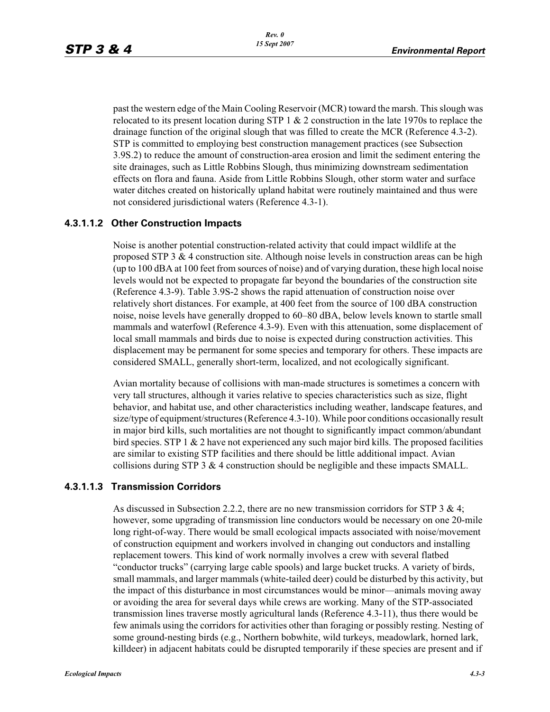past the western edge of the Main Cooling Reservoir (MCR) toward the marsh. This slough was relocated to its present location during STP 1  $\&$  2 construction in the late 1970s to replace the drainage function of the original slough that was filled to create the MCR (Reference 4.3-2). STP is committed to employing best construction management practices (see Subsection 3.9S.2) to reduce the amount of construction-area erosion and limit the sediment entering the site drainages, such as Little Robbins Slough, thus minimizing downstream sedimentation effects on flora and fauna. Aside from Little Robbins Slough, other storm water and surface water ditches created on historically upland habitat were routinely maintained and thus were not considered jurisdictional waters (Reference 4.3-1).

## **4.3.1.1.2 Other Construction Impacts**

Noise is another potential construction-related activity that could impact wildlife at the proposed STP 3 & 4 construction site. Although noise levels in construction areas can be high (up to 100 dBA at 100 feet from sources of noise) and of varying duration, these high local noise levels would not be expected to propagate far beyond the boundaries of the construction site (Reference 4.3-9). Table 3.9S-2 shows the rapid attenuation of construction noise over relatively short distances. For example, at 400 feet from the source of 100 dBA construction noise, noise levels have generally dropped to 60–80 dBA, below levels known to startle small mammals and waterfowl (Reference 4.3-9). Even with this attenuation, some displacement of local small mammals and birds due to noise is expected during construction activities. This displacement may be permanent for some species and temporary for others. These impacts are considered SMALL, generally short-term, localized, and not ecologically significant.

Avian mortality because of collisions with man-made structures is sometimes a concern with very tall structures, although it varies relative to species characteristics such as size, flight behavior, and habitat use, and other characteristics including weather, landscape features, and size/type of equipment/structures (Reference 4.3-10). While poor conditions occasionally result in major bird kills, such mortalities are not thought to significantly impact common/abundant bird species. STP 1  $\&$  2 have not experienced any such major bird kills. The proposed facilities are similar to existing STP facilities and there should be little additional impact. Avian collisions during STP 3 & 4 construction should be negligible and these impacts SMALL.

#### **4.3.1.1.3 Transmission Corridors**

As discussed in Subsection 2.2.2, there are no new transmission corridors for STP 3 & 4; however, some upgrading of transmission line conductors would be necessary on one 20-mile long right-of-way. There would be small ecological impacts associated with noise/movement of construction equipment and workers involved in changing out conductors and installing replacement towers. This kind of work normally involves a crew with several flatbed "conductor trucks" (carrying large cable spools) and large bucket trucks. A variety of birds, small mammals, and larger mammals (white-tailed deer) could be disturbed by this activity, but the impact of this disturbance in most circumstances would be minor—animals moving away or avoiding the area for several days while crews are working. Many of the STP-associated transmission lines traverse mostly agricultural lands (Reference 4.3-11), thus there would be few animals using the corridors for activities other than foraging or possibly resting. Nesting of some ground-nesting birds (e.g., Northern bobwhite, wild turkeys, meadowlark, horned lark, killdeer) in adjacent habitats could be disrupted temporarily if these species are present and if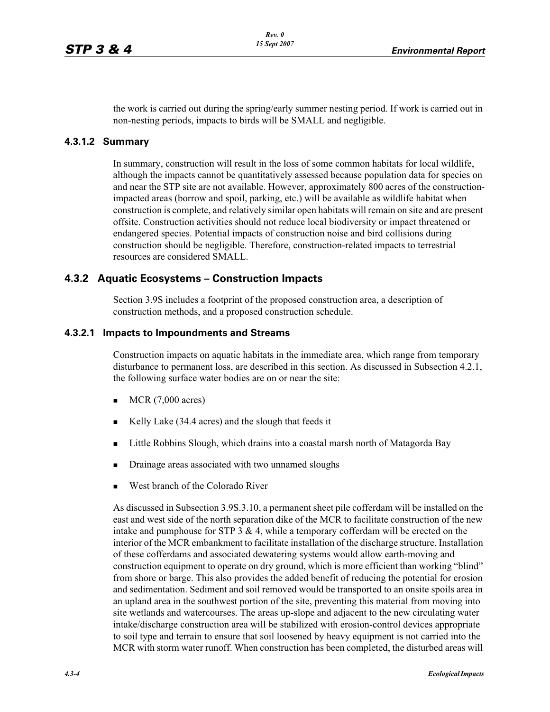the work is carried out during the spring/early summer nesting period. If work is carried out in non-nesting periods, impacts to birds will be SMALL and negligible.

#### **4.3.1.2 Summary**

In summary, construction will result in the loss of some common habitats for local wildlife, although the impacts cannot be quantitatively assessed because population data for species on and near the STP site are not available. However, approximately 800 acres of the constructionimpacted areas (borrow and spoil, parking, etc.) will be available as wildlife habitat when construction is complete, and relatively similar open habitats will remain on site and are present offsite. Construction activities should not reduce local biodiversity or impact threatened or endangered species. Potential impacts of construction noise and bird collisions during construction should be negligible. Therefore, construction-related impacts to terrestrial resources are considered SMALL.

## **4.3.2 Aquatic Ecosystems – Construction Impacts**

Section 3.9S includes a footprint of the proposed construction area, a description of construction methods, and a proposed construction schedule.

#### **4.3.2.1 Impacts to Impoundments and Streams**

Construction impacts on aquatic habitats in the immediate area, which range from temporary disturbance to permanent loss, are described in this section. As discussed in Subsection 4.2.1, the following surface water bodies are on or near the site:

- -MCR (7,000 acres)
- -Kelly Lake (34.4 acres) and the slough that feeds it
- -Little Robbins Slough, which drains into a coastal marsh north of Matagorda Bay
- -Drainage areas associated with two unnamed sloughs
- -West branch of the Colorado River

As discussed in Subsection 3.9S.3.10, a permanent sheet pile cofferdam will be installed on the east and west side of the north separation dike of the MCR to facilitate construction of the new intake and pumphouse for STP  $3 \& 4$ , while a temporary cofferdam will be erected on the interior of the MCR embankment to facilitate installation of the discharge structure. Installation of these cofferdams and associated dewatering systems would allow earth-moving and construction equipment to operate on dry ground, which is more efficient than working "blind" from shore or barge. This also provides the added benefit of reducing the potential for erosion and sedimentation. Sediment and soil removed would be transported to an onsite spoils area in an upland area in the southwest portion of the site, preventing this material from moving into site wetlands and watercourses. The areas up-slope and adjacent to the new circulating water intake/discharge construction area will be stabilized with erosion-control devices appropriate to soil type and terrain to ensure that soil loosened by heavy equipment is not carried into the MCR with storm water runoff. When construction has been completed, the disturbed areas will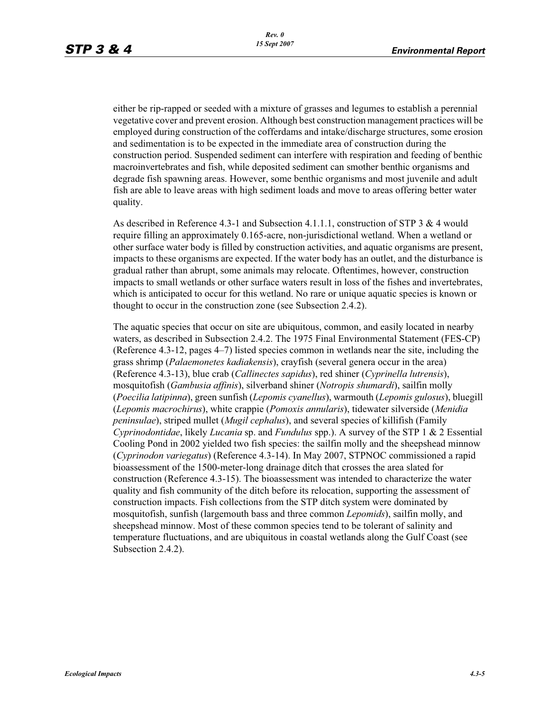either be rip-rapped or seeded with a mixture of grasses and legumes to establish a perennial vegetative cover and prevent erosion. Although best construction management practices will be employed during construction of the cofferdams and intake/discharge structures, some erosion and sedimentation is to be expected in the immediate area of construction during the construction period. Suspended sediment can interfere with respiration and feeding of benthic macroinvertebrates and fish, while deposited sediment can smother benthic organisms and degrade fish spawning areas. However, some benthic organisms and most juvenile and adult fish are able to leave areas with high sediment loads and move to areas offering better water quality.

As described in Reference 4.3-1 and Subsection 4.1.1.1, construction of STP 3 & 4 would require filling an approximately 0.165-acre, non-jurisdictional wetland. When a wetland or other surface water body is filled by construction activities, and aquatic organisms are present, impacts to these organisms are expected. If the water body has an outlet, and the disturbance is gradual rather than abrupt, some animals may relocate. Oftentimes, however, construction impacts to small wetlands or other surface waters result in loss of the fishes and invertebrates, which is anticipated to occur for this wetland. No rare or unique aquatic species is known or thought to occur in the construction zone (see Subsection 2.4.2).

The aquatic species that occur on site are ubiquitous, common, and easily located in nearby waters, as described in Subsection 2.4.2. The 1975 Final Environmental Statement (FES-CP) (Reference 4.3-12, pages 4–7) listed species common in wetlands near the site, including the grass shrimp (*Palaemonetes kadiakensis*), crayfish (several genera occur in the area) (Reference 4.3-13), blue crab (*Callinectes sapidus*), red shiner (*Cyprinella lutrensis*), mosquitofish (*Gambusia affinis*), silverband shiner (*Notropis shumardi*), sailfin molly (*Poecilia latipinna*), green sunfish (*Lepomis cyanellus*), warmouth (*Lepomis gulosus*), bluegill (*Lepomis macrochirus*), white crappie (*Pomoxis annularis*), tidewater silverside (*Menidia peninsulae*), striped mullet (*Mugil cephalus*), and several species of killifish (Family *Cyprinodontidae*, likely *Lucania* sp. and *Fundulus* spp.). A survey of the STP 1 & 2 Essential Cooling Pond in 2002 yielded two fish species: the sailfin molly and the sheepshead minnow (*Cyprinodon variegatus*) (Reference 4.3-14). In May 2007, STPNOC commissioned a rapid bioassessment of the 1500-meter-long drainage ditch that crosses the area slated for construction (Reference 4.3-15). The bioassessment was intended to characterize the water quality and fish community of the ditch before its relocation, supporting the assessment of construction impacts. Fish collections from the STP ditch system were dominated by mosquitofish, sunfish (largemouth bass and three common *Lepomids*), sailfin molly, and sheepshead minnow. Most of these common species tend to be tolerant of salinity and temperature fluctuations, and are ubiquitous in coastal wetlands along the Gulf Coast (see Subsection 2.4.2).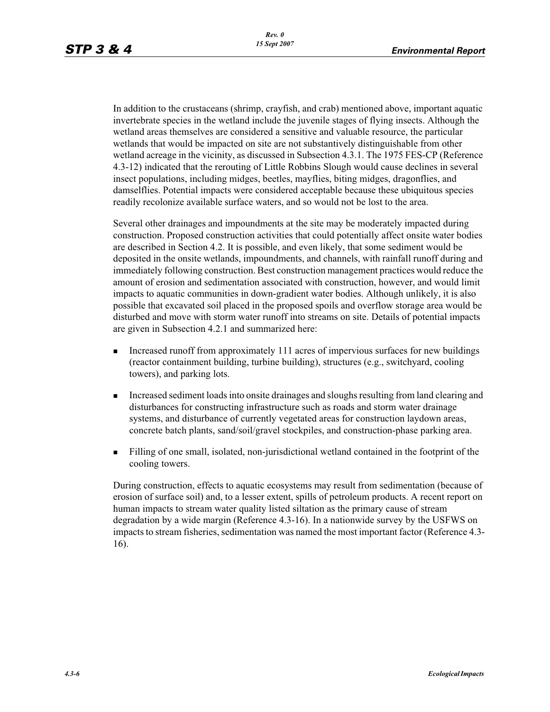In addition to the crustaceans (shrimp, crayfish, and crab) mentioned above, important aquatic invertebrate species in the wetland include the juvenile stages of flying insects. Although the wetland areas themselves are considered a sensitive and valuable resource, the particular wetlands that would be impacted on site are not substantively distinguishable from other wetland acreage in the vicinity, as discussed in Subsection 4.3.1. The 1975 FES-CP (Reference 4.3-12) indicated that the rerouting of Little Robbins Slough would cause declines in several insect populations, including midges, beetles, mayflies, biting midges, dragonflies, and damselflies. Potential impacts were considered acceptable because these ubiquitous species readily recolonize available surface waters, and so would not be lost to the area.

Several other drainages and impoundments at the site may be moderately impacted during construction. Proposed construction activities that could potentially affect onsite water bodies are described in Section 4.2. It is possible, and even likely, that some sediment would be deposited in the onsite wetlands, impoundments, and channels, with rainfall runoff during and immediately following construction. Best construction management practices would reduce the amount of erosion and sedimentation associated with construction, however, and would limit impacts to aquatic communities in down-gradient water bodies. Although unlikely, it is also possible that excavated soil placed in the proposed spoils and overflow storage area would be disturbed and move with storm water runoff into streams on site. Details of potential impacts are given in Subsection 4.2.1 and summarized here:

- - Increased runoff from approximately 111 acres of impervious surfaces for new buildings (reactor containment building, turbine building), structures (e.g., switchyard, cooling towers), and parking lots.
- - Increased sediment loads into onsite drainages and sloughs resulting from land clearing and disturbances for constructing infrastructure such as roads and storm water drainage systems, and disturbance of currently vegetated areas for construction laydown areas, concrete batch plants, sand/soil/gravel stockpiles, and construction-phase parking area.
- - Filling of one small, isolated, non-jurisdictional wetland contained in the footprint of the cooling towers.

During construction, effects to aquatic ecosystems may result from sedimentation (because of erosion of surface soil) and, to a lesser extent, spills of petroleum products. A recent report on human impacts to stream water quality listed siltation as the primary cause of stream degradation by a wide margin (Reference 4.3-16). In a nationwide survey by the USFWS on impacts to stream fisheries, sedimentation was named the most important factor (Reference 4.3- 16).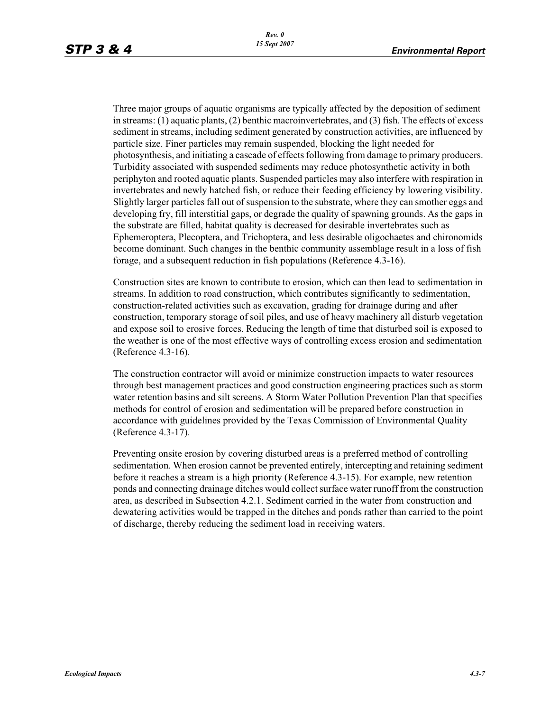Three major groups of aquatic organisms are typically affected by the deposition of sediment in streams: (1) aquatic plants, (2) benthic macroinvertebrates, and (3) fish. The effects of excess sediment in streams, including sediment generated by construction activities, are influenced by particle size. Finer particles may remain suspended, blocking the light needed for photosynthesis, and initiating a cascade of effects following from damage to primary producers. Turbidity associated with suspended sediments may reduce photosynthetic activity in both periphyton and rooted aquatic plants. Suspended particles may also interfere with respiration in invertebrates and newly hatched fish, or reduce their feeding efficiency by lowering visibility. Slightly larger particles fall out of suspension to the substrate, where they can smother eggs and developing fry, fill interstitial gaps, or degrade the quality of spawning grounds. As the gaps in the substrate are filled, habitat quality is decreased for desirable invertebrates such as Ephemeroptera, Plecoptera, and Trichoptera, and less desirable oligochaetes and chironomids become dominant. Such changes in the benthic community assemblage result in a loss of fish forage, and a subsequent reduction in fish populations (Reference 4.3-16).

Construction sites are known to contribute to erosion, which can then lead to sedimentation in streams. In addition to road construction, which contributes significantly to sedimentation, construction-related activities such as excavation, grading for drainage during and after construction, temporary storage of soil piles, and use of heavy machinery all disturb vegetation and expose soil to erosive forces. Reducing the length of time that disturbed soil is exposed to the weather is one of the most effective ways of controlling excess erosion and sedimentation (Reference 4.3-16).

The construction contractor will avoid or minimize construction impacts to water resources through best management practices and good construction engineering practices such as storm water retention basins and silt screens. A Storm Water Pollution Prevention Plan that specifies methods for control of erosion and sedimentation will be prepared before construction in accordance with guidelines provided by the Texas Commission of Environmental Quality (Reference 4.3-17).

Preventing onsite erosion by covering disturbed areas is a preferred method of controlling sedimentation. When erosion cannot be prevented entirely, intercepting and retaining sediment before it reaches a stream is a high priority (Reference 4.3-15). For example, new retention ponds and connecting drainage ditches would collect surface water runoff from the construction area, as described in Subsection 4.2.1. Sediment carried in the water from construction and dewatering activities would be trapped in the ditches and ponds rather than carried to the point of discharge, thereby reducing the sediment load in receiving waters.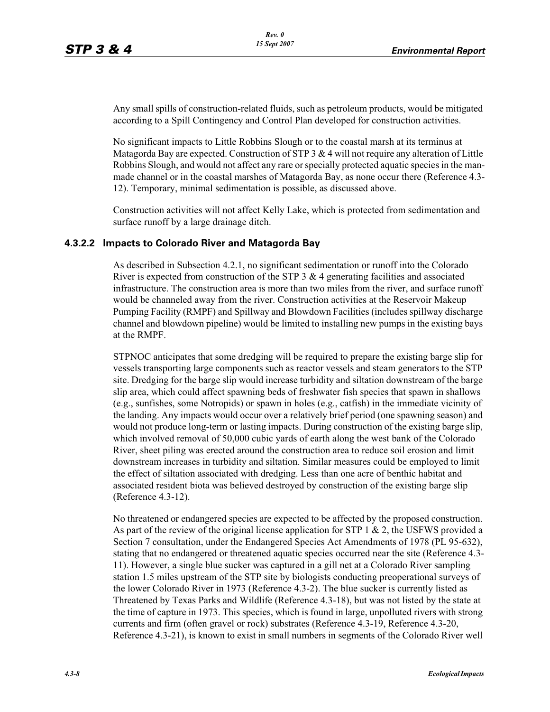Any small spills of construction-related fluids, such as petroleum products, would be mitigated according to a Spill Contingency and Control Plan developed for construction activities.

No significant impacts to Little Robbins Slough or to the coastal marsh at its terminus at Matagorda Bay are expected. Construction of STP  $3 \& 4$  will not require any alteration of Little Robbins Slough, and would not affect any rare or specially protected aquatic species in the manmade channel or in the coastal marshes of Matagorda Bay, as none occur there (Reference 4.3- 12). Temporary, minimal sedimentation is possible, as discussed above.

Construction activities will not affect Kelly Lake, which is protected from sedimentation and surface runoff by a large drainage ditch.

#### **4.3.2.2 Impacts to Colorado River and Matagorda Bay**

As described in Subsection 4.2.1, no significant sedimentation or runoff into the Colorado River is expected from construction of the STP  $3 \& 4$  generating facilities and associated infrastructure. The construction area is more than two miles from the river, and surface runoff would be channeled away from the river. Construction activities at the Reservoir Makeup Pumping Facility (RMPF) and Spillway and Blowdown Facilities (includes spillway discharge channel and blowdown pipeline) would be limited to installing new pumps in the existing bays at the RMPF.

STPNOC anticipates that some dredging will be required to prepare the existing barge slip for vessels transporting large components such as reactor vessels and steam generators to the STP site. Dredging for the barge slip would increase turbidity and siltation downstream of the barge slip area, which could affect spawning beds of freshwater fish species that spawn in shallows (e.g., sunfishes, some Notropids) or spawn in holes (e.g., catfish) in the immediate vicinity of the landing. Any impacts would occur over a relatively brief period (one spawning season) and would not produce long-term or lasting impacts. During construction of the existing barge slip, which involved removal of 50,000 cubic yards of earth along the west bank of the Colorado River, sheet piling was erected around the construction area to reduce soil erosion and limit downstream increases in turbidity and siltation. Similar measures could be employed to limit the effect of siltation associated with dredging. Less than one acre of benthic habitat and associated resident biota was believed destroyed by construction of the existing barge slip (Reference 4.3-12).

No threatened or endangered species are expected to be affected by the proposed construction. As part of the review of the original license application for STP 1  $\&$  2, the USFWS provided a Section 7 consultation, under the Endangered Species Act Amendments of 1978 (PL 95-632), stating that no endangered or threatened aquatic species occurred near the site (Reference 4.3- 11). However, a single blue sucker was captured in a gill net at a Colorado River sampling station 1.5 miles upstream of the STP site by biologists conducting preoperational surveys of the lower Colorado River in 1973 (Reference 4.3-2). The blue sucker is currently listed as Threatened by Texas Parks and Wildlife (Reference 4.3-18), but was not listed by the state at the time of capture in 1973. This species, which is found in large, unpolluted rivers with strong currents and firm (often gravel or rock) substrates (Reference 4.3-19, Reference 4.3-20, Reference 4.3-21), is known to exist in small numbers in segments of the Colorado River well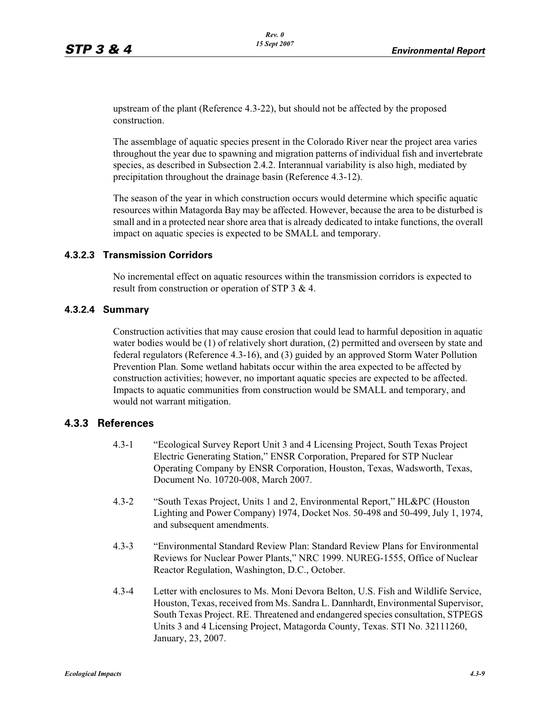upstream of the plant (Reference 4.3-22), but should not be affected by the proposed construction.

The assemblage of aquatic species present in the Colorado River near the project area varies throughout the year due to spawning and migration patterns of individual fish and invertebrate species, as described in Subsection 2.4.2. Interannual variability is also high, mediated by precipitation throughout the drainage basin (Reference 4.3-12).

The season of the year in which construction occurs would determine which specific aquatic resources within Matagorda Bay may be affected. However, because the area to be disturbed is small and in a protected near shore area that is already dedicated to intake functions, the overall impact on aquatic species is expected to be SMALL and temporary.

## **4.3.2.3 Transmission Corridors**

No incremental effect on aquatic resources within the transmission corridors is expected to result from construction or operation of STP 3 & 4.

#### **4.3.2.4 Summary**

Construction activities that may cause erosion that could lead to harmful deposition in aquatic water bodies would be (1) of relatively short duration, (2) permitted and overseen by state and federal regulators (Reference 4.3-16), and (3) guided by an approved Storm Water Pollution Prevention Plan. Some wetland habitats occur within the area expected to be affected by construction activities; however, no important aquatic species are expected to be affected. Impacts to aquatic communities from construction would be SMALL and temporary, and would not warrant mitigation.

## **4.3.3 References**

- 4.3-1 "Ecological Survey Report Unit 3 and 4 Licensing Project, South Texas Project Electric Generating Station," ENSR Corporation, Prepared for STP Nuclear Operating Company by ENSR Corporation, Houston, Texas, Wadsworth, Texas, Document No. 10720-008, March 2007.
- 4.3-2 "South Texas Project, Units 1 and 2, Environmental Report," HL&PC (Houston Lighting and Power Company) 1974, Docket Nos. 50-498 and 50-499, July 1, 1974, and subsequent amendments.
- 4.3-3 "Environmental Standard Review Plan: Standard Review Plans for Environmental Reviews for Nuclear Power Plants," NRC 1999. NUREG-1555, Office of Nuclear Reactor Regulation, Washington, D.C., October.
- 4.3-4 Letter with enclosures to Ms. Moni Devora Belton, U.S. Fish and Wildlife Service, Houston, Texas, received from Ms. Sandra L. Dannhardt, Environmental Supervisor, South Texas Project. RE. Threatened and endangered species consultation, STPEGS Units 3 and 4 Licensing Project, Matagorda County, Texas. STI No. 32111260, January, 23, 2007.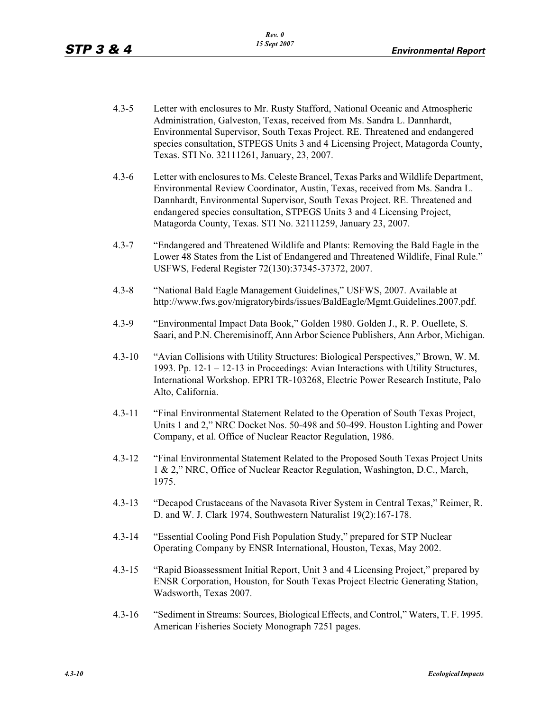- 4.3-5 Letter with enclosures to Mr. Rusty Stafford, National Oceanic and Atmospheric Administration, Galveston, Texas, received from Ms. Sandra L. Dannhardt, Environmental Supervisor, South Texas Project. RE. Threatened and endangered species consultation, STPEGS Units 3 and 4 Licensing Project, Matagorda County, Texas. STI No. 32111261, January, 23, 2007.
- 4.3-6 Letter with enclosures to Ms. Celeste Brancel, Texas Parks and Wildlife Department, Environmental Review Coordinator, Austin, Texas, received from Ms. Sandra L. Dannhardt, Environmental Supervisor, South Texas Project. RE. Threatened and endangered species consultation, STPEGS Units 3 and 4 Licensing Project, Matagorda County, Texas. STI No. 32111259, January 23, 2007.
- 4.3-7 "Endangered and Threatened Wildlife and Plants: Removing the Bald Eagle in the Lower 48 States from the List of Endangered and Threatened Wildlife, Final Rule." USFWS, Federal Register 72(130):37345-37372, 2007.
- 4.3-8 "National Bald Eagle Management Guidelines," USFWS, 2007. Available at http://www.fws.gov/migratorybirds/issues/BaldEagle/Mgmt.Guidelines.2007.pdf.
- 4.3-9 "Environmental Impact Data Book," Golden 1980. Golden J., R. P. Ouellete, S. Saari, and P.N. Cheremisinoff, Ann Arbor Science Publishers, Ann Arbor, Michigan.
- 4.3-10 "Avian Collisions with Utility Structures: Biological Perspectives," Brown, W. M. 1993. Pp. 12-1 – 12-13 in Proceedings: Avian Interactions with Utility Structures, International Workshop. EPRI TR-103268, Electric Power Research Institute, Palo Alto, California.
- 4.3-11 "Final Environmental Statement Related to the Operation of South Texas Project, Units 1 and 2," NRC Docket Nos. 50-498 and 50-499. Houston Lighting and Power Company, et al. Office of Nuclear Reactor Regulation, 1986.
- 4.3-12 "Final Environmental Statement Related to the Proposed South Texas Project Units 1 & 2," NRC, Office of Nuclear Reactor Regulation, Washington, D.C., March, 1975.
- 4.3-13 "Decapod Crustaceans of the Navasota River System in Central Texas," Reimer, R. D. and W. J. Clark 1974, Southwestern Naturalist 19(2):167-178.
- 4.3-14 "Essential Cooling Pond Fish Population Study," prepared for STP Nuclear Operating Company by ENSR International, Houston, Texas, May 2002.
- 4.3-15 "Rapid Bioassessment Initial Report, Unit 3 and 4 Licensing Project," prepared by ENSR Corporation, Houston, for South Texas Project Electric Generating Station, Wadsworth, Texas 2007.
- 4.3-16 "Sediment in Streams: Sources, Biological Effects, and Control," Waters, T. F. 1995. American Fisheries Society Monograph 7251 pages.